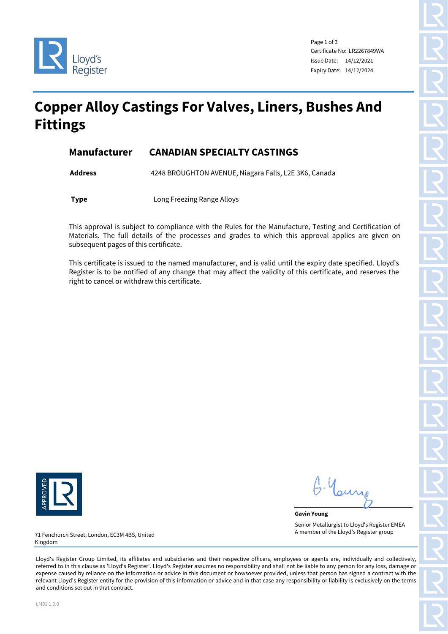

Page 1 of 3 Certificate No: LR2267849WA Issue Date: 14/12/2021 Expiry Date: 14/12/2024

# **Copper Alloy Castings For Valves, Liners, Bushes And Fittings**

#### **Manufacturer CANADIAN SPECIALTY CASTINGS**

**Address** 4248 BROUGHTON AVENUE, Niagara Falls, L2E 3K6, Canada

**Type Long Freezing Range Alloys** 

This approval is subject to compliance with the Rules for the Manufacture, Testing and Certification of Materials. The full details of the processes and grades to which this approval applies are given on subsequent pages of this certificate.

This certificate is issued to the named manufacturer, and is valid until the expiry date specified. Lloyd's Register is to be notified of any change that may affect the validity of this certificate, and reserves the right to cancel or withdraw this certificate.



. Your

**Gavin Young** Senior Metallurgist to Lloyd's Register EMEA A member of the Lloyd's Register group

71 Fenchurch Street, London, EC3M 4BS, United Kingdom

Lloyd's Register Group Limited, its affiliates and subsidiaries and their respective officers, employees or agents are, individually and collectively, referred to in this clause as 'Lloyd's Register'. Lloyd's Register assumes no responsibility and shall not be liable to any person for any loss, damage or expense caused by reliance on the information or advice in this document or howsoever provided, unless that person has signed a contract with the relevant Lloyd's Register entity for the provision of this information or advice and in that case any responsibility or liability is exclusively on the terms and conditions set out in that contract.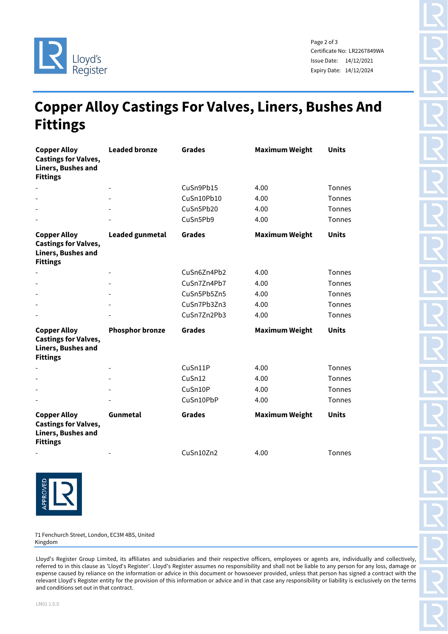

Page 2 of 3 Certificate No: LR2267849WA Issue Date: 14/12/2021 Expiry Date: 14/12/2024

# **Copper Alloy Castings For Valves, Liners, Bushes And Fittings**

| <b>Copper Alloy</b><br><b>Castings for Valves,</b><br>Liners, Bushes and<br><b>Fittings</b>        | <b>Leaded bronze</b>   | <b>Grades</b> | <b>Maximum Weight</b> | <b>Units</b>  |
|----------------------------------------------------------------------------------------------------|------------------------|---------------|-----------------------|---------------|
|                                                                                                    |                        | CuSn9Pb15     | 4.00                  | <b>Tonnes</b> |
|                                                                                                    |                        | CuSn10Pb10    | 4.00                  | <b>Tonnes</b> |
|                                                                                                    |                        | CuSn5Pb20     | 4.00                  | Tonnes        |
|                                                                                                    |                        | CuSn5Pb9      | 4.00                  | <b>Tonnes</b> |
| <b>Copper Alloy</b><br><b>Castings for Valves,</b><br><b>Liners, Bushes and</b><br><b>Fittings</b> | <b>Leaded gunmetal</b> | <b>Grades</b> | <b>Maximum Weight</b> | <b>Units</b>  |
|                                                                                                    |                        | CuSn6Zn4Pb2   | 4.00                  | <b>Tonnes</b> |
|                                                                                                    |                        | CuSn7Zn4Pb7   | 4.00                  | <b>Tonnes</b> |
|                                                                                                    |                        | CuSn5Pb5Zn5   | 4.00                  | <b>Tonnes</b> |
|                                                                                                    |                        | CuSn7Pb3Zn3   | 4.00                  | <b>Tonnes</b> |
|                                                                                                    |                        | CuSn7Zn2Pb3   | 4.00                  | <b>Tonnes</b> |
| <b>Copper Alloy</b><br><b>Castings for Valves,</b><br><b>Liners, Bushes and</b><br><b>Fittings</b> | <b>Phosphor bronze</b> | <b>Grades</b> | <b>Maximum Weight</b> | <b>Units</b>  |
|                                                                                                    |                        | CuSn11P       | 4.00                  | <b>Tonnes</b> |
|                                                                                                    |                        | CuSn12        | 4.00                  | Tonnes        |
|                                                                                                    |                        | CuSn10P       | 4.00                  | <b>Tonnes</b> |
|                                                                                                    |                        | CuSn10PbP     | 4.00                  | Tonnes        |
| <b>Copper Alloy</b><br><b>Castings for Valves,</b><br>Liners, Bushes and<br><b>Fittings</b>        | Gunmetal               | <b>Grades</b> | <b>Maximum Weight</b> | <b>Units</b>  |
|                                                                                                    |                        | CuSn10Zn2     | 4.00                  | Tonnes        |



71 Fenchurch Street, London, EC3M 4BS, United Kingdom

Lloyd's Register Group Limited, its affiliates and subsidiaries and their respective officers, employees or agents are, individually and collectively, referred to in this clause as 'Lloyd's Register'. Lloyd's Register assumes no responsibility and shall not be liable to any person for any loss, damage or expense caused by reliance on the information or advice in this document or howsoever provided, unless that person has signed a contract with the relevant Lloyd's Register entity for the provision of this information or advice and in that case any responsibility or liability is exclusively on the terms and conditions set out in that contract.